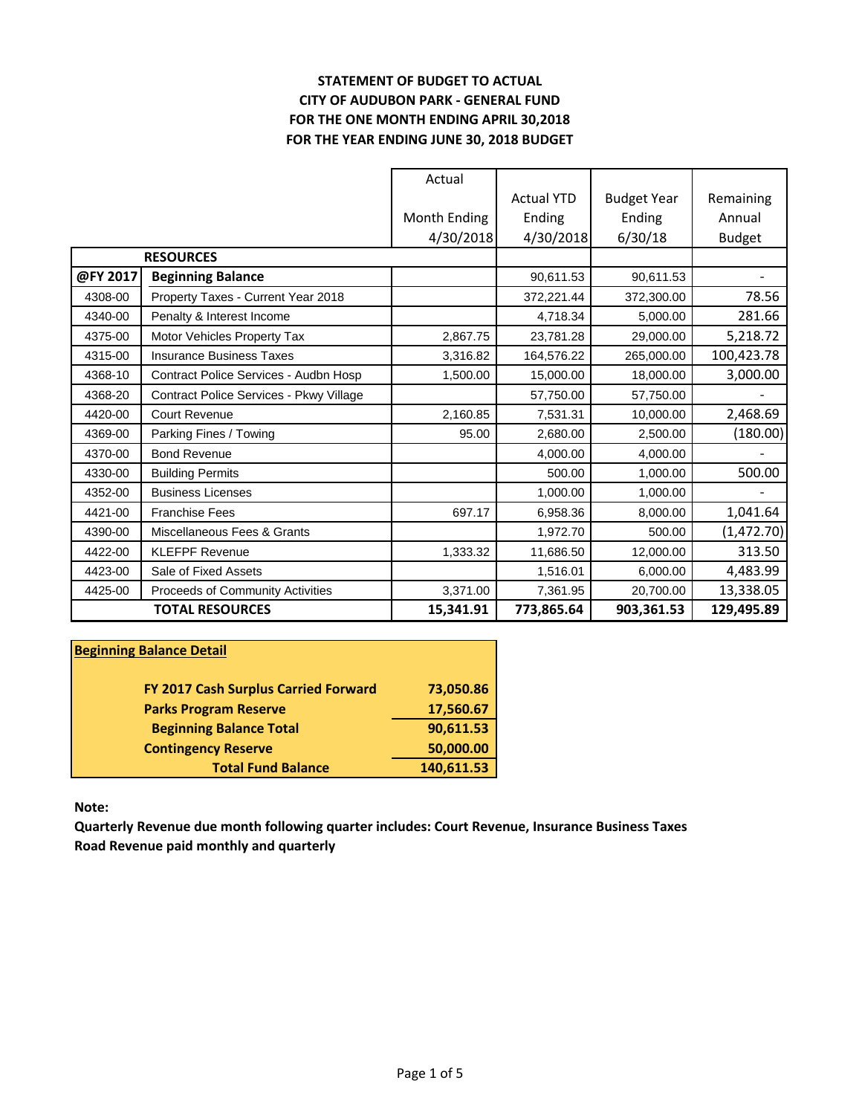## **STATEMENT OF BUDGET TO ACTUAL CITY OF AUDUBON PARK - GENERAL FUND FOR THE ONE MONTH ENDING APRIL 30,2018 FOR THE YEAR ENDING JUNE 30, 2018 BUDGET**

|          |                                         | Actual       |                   |                    |               |
|----------|-----------------------------------------|--------------|-------------------|--------------------|---------------|
|          |                                         |              | <b>Actual YTD</b> | <b>Budget Year</b> | Remaining     |
|          |                                         | Month Ending | Ending            | Ending             | Annual        |
|          |                                         | 4/30/2018    | 4/30/2018         | 6/30/18            | <b>Budget</b> |
|          | <b>RESOURCES</b>                        |              |                   |                    |               |
| @FY 2017 | <b>Beginning Balance</b>                |              | 90,611.53         | 90,611.53          |               |
| 4308-00  | Property Taxes - Current Year 2018      |              | 372,221.44        | 372,300.00         | 78.56         |
| 4340-00  | Penalty & Interest Income               |              | 4.718.34          | 5.000.00           | 281.66        |
| 4375-00  | Motor Vehicles Property Tax             | 2,867.75     | 23,781.28         | 29,000.00          | 5,218.72      |
| 4315-00  | <b>Insurance Business Taxes</b>         | 3,316.82     | 164,576.22        | 265,000.00         | 100,423.78    |
| 4368-10  | Contract Police Services - Audbn Hosp   | 1,500.00     | 15,000.00         | 18,000.00          | 3,000.00      |
| 4368-20  | Contract Police Services - Pkwy Village |              | 57,750.00         | 57,750.00          |               |
| 4420-00  | <b>Court Revenue</b>                    | 2,160.85     | 7,531.31          | 10,000.00          | 2,468.69      |
| 4369-00  | Parking Fines / Towing                  | 95.00        | 2,680.00          | 2,500.00           | (180.00)      |
| 4370-00  | <b>Bond Revenue</b>                     |              | 4,000.00          | 4,000.00           |               |
| 4330-00  | <b>Building Permits</b>                 |              | 500.00            | 1,000.00           | 500.00        |
| 4352-00  | <b>Business Licenses</b>                |              | 1,000.00          | 1,000.00           |               |
| 4421-00  | <b>Franchise Fees</b>                   | 697.17       | 6,958.36          | 8,000.00           | 1,041.64      |
| 4390-00  | Miscellaneous Fees & Grants             |              | 1,972.70          | 500.00             | (1, 472.70)   |
| 4422-00  | <b>KLEFPF Revenue</b>                   | 1,333.32     | 11,686.50         | 12,000.00          | 313.50        |
| 4423-00  | Sale of Fixed Assets                    |              | 1,516.01          | 6,000.00           | 4,483.99      |
| 4425-00  | Proceeds of Community Activities        | 3,371.00     | 7,361.95          | 20,700.00          | 13,338.05     |
|          | <b>TOTAL RESOURCES</b>                  | 15,341.91    | 773,865.64        | 903,361.53         | 129,495.89    |

#### **Beginning Balance Detail**

| FY 2017 Cash Surplus Carried Forward | 73,050.86  |
|--------------------------------------|------------|
| <b>Parks Program Reserve</b>         | 17,560.67  |
| <b>Beginning Balance Total</b>       | 90,611.53  |
| <b>Contingency Reserve</b>           | 50,000.00  |
| <b>Total Fund Balance</b>            | 140,611.53 |

**Note:**

**Quarterly Revenue due month following quarter includes: Court Revenue, Insurance Business Taxes Road Revenue paid monthly and quarterly**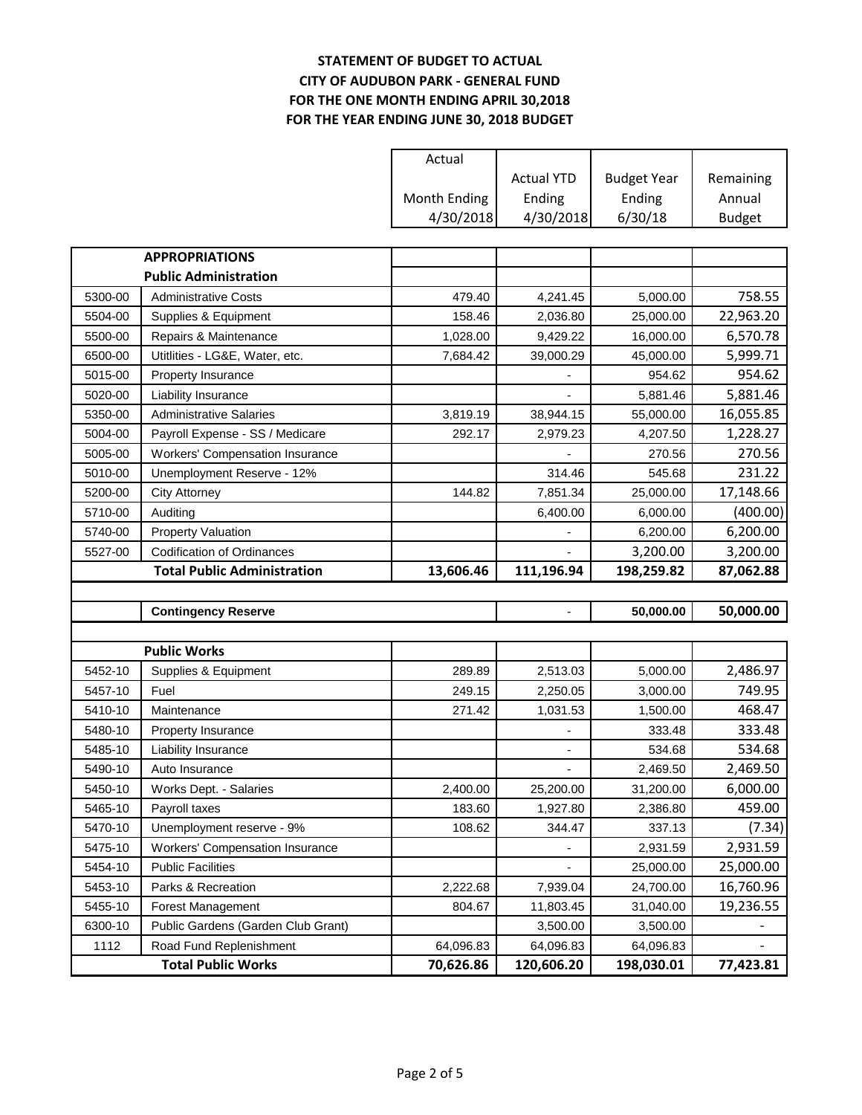## **STATEMENT OF BUDGET TO ACTUAL CITY OF AUDUBON PARK - GENERAL FUND FOR THE ONE MONTH ENDING APRIL 30,2018 FOR THE YEAR ENDING JUNE 30, 2018 BUDGET**

|         |                                                      | Actual                 |                         |                         |               |
|---------|------------------------------------------------------|------------------------|-------------------------|-------------------------|---------------|
|         |                                                      |                        | <b>Actual YTD</b>       | <b>Budget Year</b>      | Remaining     |
|         |                                                      | Month Ending           | Ending                  | Ending                  | Annual        |
|         |                                                      | 4/30/2018              | 4/30/2018               | 6/30/18                 | <b>Budget</b> |
|         |                                                      |                        |                         |                         |               |
|         | <b>APPROPRIATIONS</b>                                |                        |                         |                         |               |
|         | <b>Public Administration</b>                         |                        |                         |                         |               |
| 5300-00 | <b>Administrative Costs</b>                          | 479.40                 | 4,241.45                | 5,000.00                | 758.55        |
| 5504-00 | Supplies & Equipment                                 | 158.46                 | 2,036.80                | 25,000.00               | 22,963.20     |
| 5500-00 | Repairs & Maintenance                                | 1,028.00               | 9,429.22                | 16,000.00               | 6,570.78      |
| 6500-00 | Utitlities - LG&E, Water, etc.                       | 7,684.42               | 39,000.29               | 45,000.00               | 5,999.71      |
| 5015-00 | Property Insurance                                   |                        |                         | 954.62                  | 954.62        |
| 5020-00 | Liability Insurance                                  |                        |                         | 5,881.46                | 5,881.46      |
| 5350-00 | <b>Administrative Salaries</b>                       | 3,819.19               | 38,944.15               | 55,000.00               | 16,055.85     |
| 5004-00 | Payroll Expense - SS / Medicare                      | 292.17                 | 2,979.23                | 4,207.50                | 1,228.27      |
| 5005-00 | <b>Workers' Compensation Insurance</b>               |                        |                         | 270.56                  | 270.56        |
| 5010-00 | Unemployment Reserve - 12%                           |                        | 314.46                  | 545.68                  | 231.22        |
| 5200-00 | <b>City Attorney</b>                                 | 144.82                 | 7,851.34                | 25,000.00               | 17,148.66     |
| 5710-00 | Auditing                                             |                        | 6,400.00                | 6,000.00                | (400.00)      |
| 5740-00 | <b>Property Valuation</b>                            |                        |                         | 6,200.00                | 6,200.00      |
| 5527-00 | <b>Codification of Ordinances</b>                    |                        |                         | 3,200.00                | 3,200.00      |
|         |                                                      |                        |                         |                         |               |
|         | <b>Total Public Administration</b>                   | 13,606.46              | 111,196.94              | 198,259.82              | 87,062.88     |
|         |                                                      |                        |                         |                         |               |
|         | <b>Contingency Reserve</b>                           |                        |                         | 50,000.00               | 50,000.00     |
|         |                                                      |                        |                         |                         |               |
|         | <b>Public Works</b>                                  |                        |                         |                         |               |
| 5452-10 | Supplies & Equipment                                 | 289.89                 | 2,513.03                | 5,000.00                | 2,486.97      |
| 5457-10 | Fuel                                                 | 249.15                 | 2,250.05                | 3,000.00                | 749.95        |
| 5410-10 | Maintenance                                          | 271.42                 | 1,031.53                | 1,500.00                | 468.47        |
| 5480-10 | Property Insurance                                   |                        |                         | 333.48                  | 333.48        |
| 5485-10 | Liability Insurance                                  |                        |                         | 534.68                  | 534.68        |
| 5490-10 | Auto Insurance                                       |                        |                         | 2,469.50                | 2,469.50      |
| 5450-10 | Works Dept. - Salaries                               | 2,400.00               | 25,200.00               | 31,200.00               | 6,000.00      |
| 5465-10 | Payroll taxes                                        | 183.60                 | 1,927.80                | 2,386.80                | 459.00        |
| 5470-10 | Unemployment reserve - 9%                            | 108.62                 | 344.47                  | 337.13                  | (7.34)        |
| 5475-10 | <b>Workers' Compensation Insurance</b>               |                        |                         | 2,931.59                | 2,931.59      |
| 5454-10 | <b>Public Facilities</b>                             |                        |                         | 25,000.00               | 25,000.00     |
| 5453-10 | Parks & Recreation                                   | 2,222.68               | 7,939.04                | 24,700.00               | 16,760.96     |
| 5455-10 | Forest Management                                    | 804.67                 | 11,803.45               | 31,040.00               | 19,236.55     |
| 6300-10 | Public Gardens (Garden Club Grant)                   |                        | 3,500.00                | 3,500.00                |               |
| 1112    | Road Fund Replenishment<br><b>Total Public Works</b> | 64,096.83<br>70,626.86 | 64,096.83<br>120,606.20 | 64,096.83<br>198,030.01 | 77,423.81     |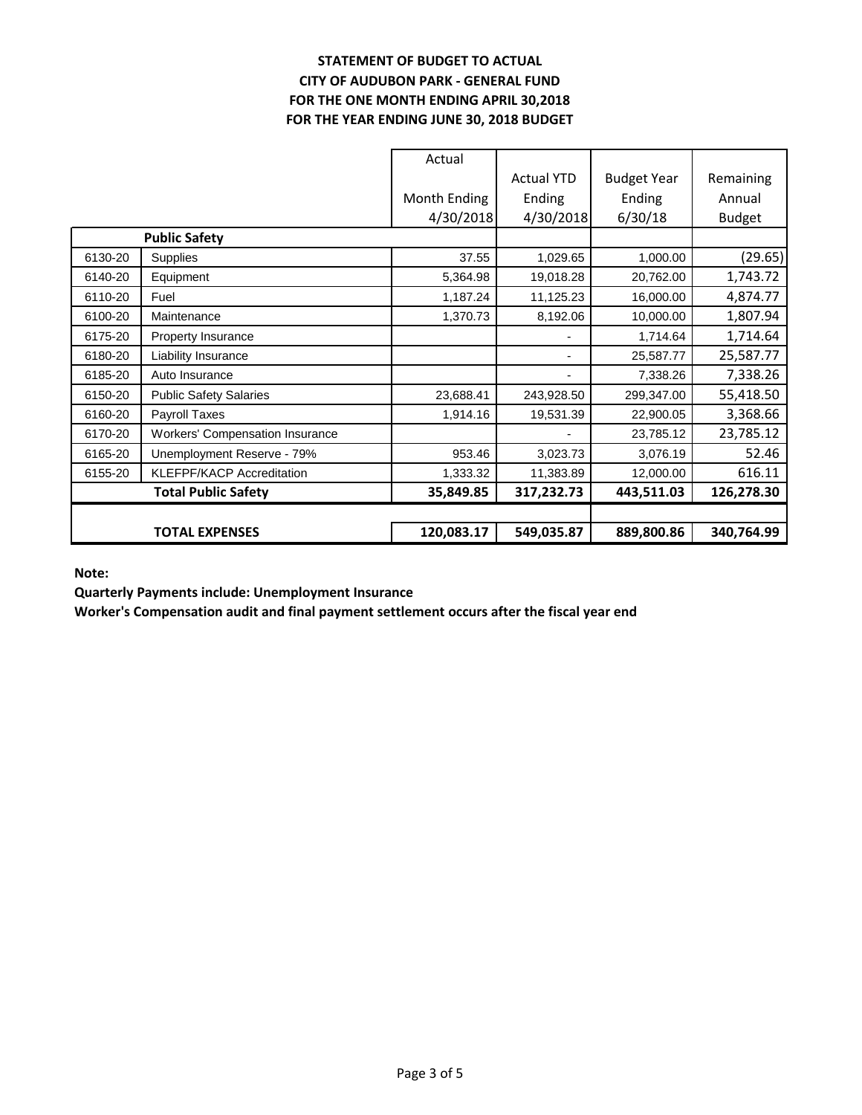# **STATEMENT OF BUDGET TO ACTUAL CITY OF AUDUBON PARK - GENERAL FUND FOR THE ONE MONTH ENDING APRIL 30,2018 FOR THE YEAR ENDING JUNE 30, 2018 BUDGET**

|         |                                        | Actual       |                   |                    |               |
|---------|----------------------------------------|--------------|-------------------|--------------------|---------------|
|         |                                        |              | <b>Actual YTD</b> | <b>Budget Year</b> | Remaining     |
|         |                                        | Month Ending | Ending            | Ending             | Annual        |
|         |                                        | 4/30/2018    | 4/30/2018         | 6/30/18            | <b>Budget</b> |
|         | <b>Public Safety</b>                   |              |                   |                    |               |
| 6130-20 | Supplies                               | 37.55        | 1,029.65          | 1,000.00           | (29.65)       |
| 6140-20 | Equipment                              | 5,364.98     | 19,018.28         | 20,762.00          | 1,743.72      |
| 6110-20 | Fuel                                   | 1,187.24     | 11,125.23         | 16,000.00          | 4,874.77      |
| 6100-20 | Maintenance                            | 1,370.73     | 8,192.06          | 10,000.00          | 1,807.94      |
| 6175-20 | Property Insurance                     |              |                   | 1,714.64           | 1,714.64      |
| 6180-20 | <b>Liability Insurance</b>             |              | ٠                 | 25,587.77          | 25,587.77     |
| 6185-20 | Auto Insurance                         |              | ۰.                | 7,338.26           | 7,338.26      |
| 6150-20 | <b>Public Safety Salaries</b>          | 23,688.41    | 243,928.50        | 299,347.00         | 55,418.50     |
| 6160-20 | Payroll Taxes                          | 1,914.16     | 19,531.39         | 22,900.05          | 3,368.66      |
| 6170-20 | <b>Workers' Compensation Insurance</b> |              |                   | 23,785.12          | 23,785.12     |
| 6165-20 | Unemployment Reserve - 79%             | 953.46       | 3,023.73          | 3,076.19           | 52.46         |
| 6155-20 | <b>KLEFPF/KACP Accreditation</b>       | 1,333.32     | 11,383.89         | 12,000.00          | 616.11        |
|         | <b>Total Public Safety</b>             | 35,849.85    | 317,232.73        | 443,511.03         | 126,278.30    |
|         |                                        |              |                   |                    |               |
|         | <b>TOTAL EXPENSES</b>                  | 120,083.17   | 549,035.87        | 889,800.86         | 340,764.99    |

**Note:**

**Quarterly Payments include: Unemployment Insurance**

**Worker's Compensation audit and final payment settlement occurs after the fiscal year end**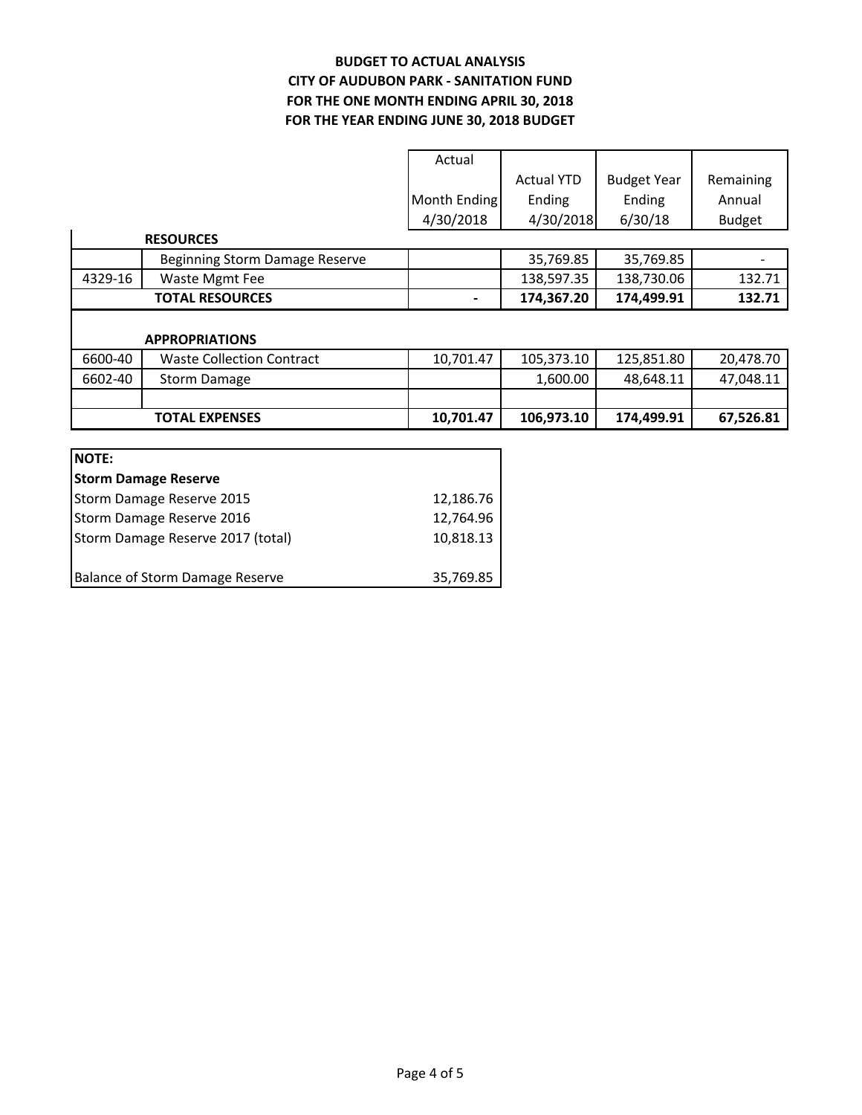# **BUDGET TO ACTUAL ANALYSIS CITY OF AUDUBON PARK - SANITATION FUND FOR THE YEAR ENDING JUNE 30, 2018 BUDGET FOR THE ONE MONTH ENDING APRIL 30, 2018**

| Actual       |                   |                    |               |
|--------------|-------------------|--------------------|---------------|
|              | <b>Actual YTD</b> | <b>Budget Year</b> | Remaining     |
| Month Ending | Ending            | Ending             | Annual        |
| 4/30/2018    | 4/30/2018         | 6/30/18            | <b>Budget</b> |

|         | <b>RESOURCES</b>                 |           |            |            |           |
|---------|----------------------------------|-----------|------------|------------|-----------|
|         | Beginning Storm Damage Reserve   |           | 35,769.85  | 35,769.85  |           |
| 4329-16 | Waste Mgmt Fee                   |           | 138,597.35 | 138,730.06 | 132.71    |
|         | <b>TOTAL RESOURCES</b>           |           | 174,367.20 | 174,499.91 | 132.71    |
|         | <b>APPROPRIATIONS</b>            |           |            |            |           |
| 6600-40 | <b>Waste Collection Contract</b> | 10,701.47 | 105,373.10 | 125,851.80 | 20,478.70 |
| 6602-40 | <b>Storm Damage</b>              |           | 1,600.00   | 48,648.11  | 47,048.11 |
|         |                                  |           |            |            |           |

**TOTAL EXPENSES** 10,701.47 106,973.10 174,499.91 67,526.81

| <b>NOTE:</b>                           |           |
|----------------------------------------|-----------|
| <b>Storm Damage Reserve</b>            |           |
| Storm Damage Reserve 2015              | 12,186.76 |
| Storm Damage Reserve 2016              | 12,764.96 |
| Storm Damage Reserve 2017 (total)      | 10,818.13 |
|                                        |           |
| <b>Balance of Storm Damage Reserve</b> | 35,769.85 |